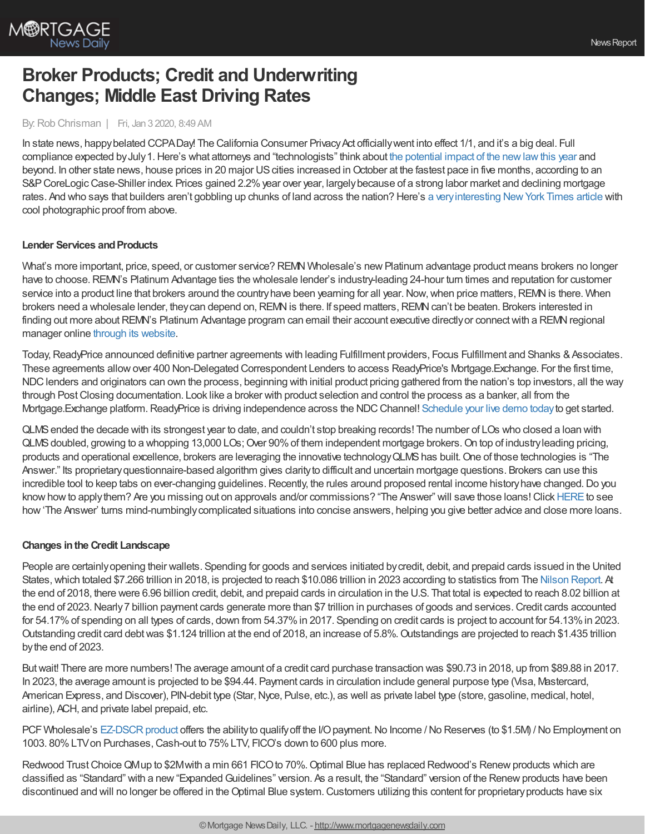

# **Broker Products; Credit and Underwriting Changes; Middle East Driving Rates**

#### By:Rob Chrisman | Fri, Jan 3 2020, 8:49 AM

In state news, happy belated CCPADay! The California Consumer Privacy Act officially went into effect 1/1, and it's a big deal. Full compliance expected byJuly1.Here's what attorneys and "technologists" think about the potential impact of the [newlawthis](https://www.law.com/2019/12/31/legal-techs-predictions-for-the-ccpa-in-2020/) year and beyond. In other state news, house prices in 20 major US cities increased in October at the fastest pace in five months, according to an S&P CoreLogic Case-Shiller index. Prices gained 2.2% year over year, largely because of a strong labor market and declining mortgage rates. And who says that builders aren't gobbling up chunks of land across the nation? Here's a very interesting New York Times article with cool photographic proof from above.

## **Lender Services and Products**

What's more important, price, speed, or customer service? REMN Wholesale's new Platinum advantage product means brokers no longer have to choose. REMN's Platinum Advantage ties the wholesale lender's industry-leading 24-hour turn times and reputation for customer service into a product line that brokers around the country have been yearning for all year. Now, when price matters, REMN is there. When brokers need a wholesale lender, they can depend on, REMN is there. If speed matters, REMN can't be beaten. Brokers interested in finding out more about REMN's Platinum Advantage program can email their account executive directly or connect with a REMN regional manager online [through](https://www.remnwholesale.com/company-info/employee-directory/) its website.

Today, ReadyPrice announced definitive partner agreements with leading Fulfillment providers, Focus Fulfillment and Shanks & Associates. These agreements allowover 400 Non-Delegated Correspondent Lenders to access ReadyPrice's Mortgage.Exchange. For the first time, NDC lenders and originators can own the process, beginning with initial product pricing gathered from the nation's top investors, all the way through Post Closing documentation. Look like a broker with product selection and control the process as a banker, all from the Mortgage.Exchange platform.ReadyPrice is driving independence across the NDCChannel! [Schedule](https://meetings.hubspot.com/mortgageexchange/demo) your live demo todayto get started.

QLMSended the decade with its strongest year to date, and couldn't stop breaking records! The number of LOs who closed a loan with QLMS doubled, growing to a whopping 13,000 LOs; Over 90% of them independent mortgage brokers. On top of industry leading pricing, products and operational excellence, brokers are leveraging the innovative technology QLMS has built. One of those technologies is "The Answer." Its proprietaryquestionnaire-based algorithm gives clarityto difficult and uncertain mortgage questions. Brokers can use this incredible tool to keep tabs on ever-changing guidelines. Recently, the rules around proposed rental income history have changed. Do you know how to apply them? Are you missing out on approvals and/or commissions? "The Answer" will save those loans! Click [HERE](https://sso.apps.qlmortgageservices.com/Account/Login?ReturnUrl=%252Fconnect%252Fauthorize%252Fcallback%253Fclient_id%253Dpartnerportal%2526scope%253Dintrospect%252520openid%252520profile%252520qlms%2526response_type%253Dcode%2526redirect_uri%253Dhttps%25253A%25252F%25252Fportal.qlmortgageservices.com%25252Flogin%2526state%253D5e0e573768a1d) to see how'The Answer' turns mind-numbinglycomplicated situations into concise answers, helping you give better advice and close more loans.

## **Changes inthe Credit Landscape**

People are certainlyopening their wallets. Spending for goods and services initiated bycredit, debit, and prepaid cards issued in the United States, which totaled \$7.266 trillion in 2018, is projected to reach \$10.086 trillion in 2023 according to statistics from The Nilson [Report](https://nilsonreport.com/). At the end of 2018, there were 6.96 billion credit, debit, and prepaid cards in circulation in the U.S. That total is expected to reach 8.02 billion at the end of 2023. Nearly 7 billion payment cards generate more than \$7 trillion in purchases of goods and services. Credit cards accounted for 54.17% of spending on all types of cards, down from 54.37% in 2017. Spending on credit cards is project to account for 54.13% in 2023. Outstanding credit card debtwas \$1.124 trillion at the end of 2018, an increase of 5.8%.Outstandings are projected to reach \$1.435 trillion bythe end of 2023.

Butwait! There are more numbers! The average amount of a credit card purchase transaction was \$90.73 in 2018, up from \$89.88 in 2017. In 2023, the average amount is projected to be \$94.44. Payment cards in circulation include general purpose type (Visa, Mastercard, American Express, and Discover), PIN-debit type (Star, Nyce, Pulse, etc.), as well as private label type (store, gasoline, medical, hotel, airline), ACH, and private label prepaid, etc.

PCF Wholesale's EZ-DSCR product offers the ability to qualify off the I/O payment. No Income / No Reserves (to \$1.5M) / No Employment on 1003. 80% LTV on Purchases, Cash-out to 75% LTV, FICO's down to 600 plus more.

Redwood Trust Choice QMup to \$2Mwith a min 661 FICO to 70%. Optimal Blue has replaced Redwood's Renew products which are classified as "Standard" with a new "Expanded Guidelines" version. As a result, the "Standard" version of the Renew products have been discontinued and will no longer be offered in the Optimal Blue system. Customers utilizing this content for proprietary products have six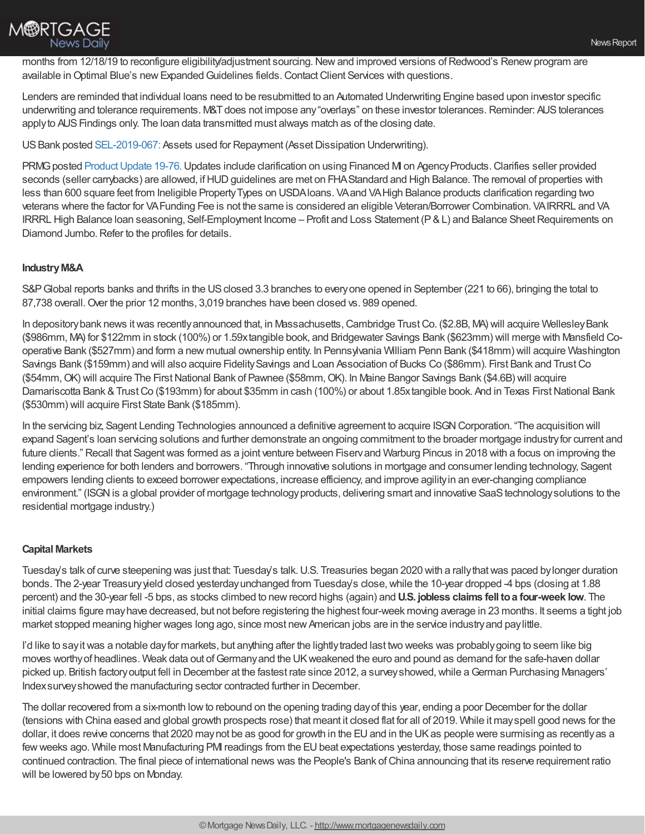

months from 12/18/19 to reconfigure eligibility/adjustment sourcing. New and improved versions of Redwood's Renew program are available in Optimal Blue's new Expanded Guidelines fields. Contact Client Services with questions.

Lenders are reminded that individual loans need to be resubmitted to an Automated Underwriting Engine based upon investor specific underwriting and tolerance requirements. M&T does not impose any "overlays" on these investor tolerances. Reminder: AUS tolerances apply to AUS Findings only. The loan data transmitted must always match as of the closing date.

US Bank posted [SEL-2019-067:](http://pull.t2mr3.com/cgi-bin/pull/DocPull/1641-EADE/227179825/SEL-2019-067_-_Dec_20_Underwriting_12-20-19.pdf) Assets used for Repayment (Asset Dissipation Underwriting).

PRMG posted Product Update 19-76. Updates include clarification on using Financed MI on Agency Products. Clarifies seller provided seconds (seller carrybacks) are allowed, if HUD guidelines are met on FHA Standard and High Balance. The removal of properties with less than 600 square feet from Ineligible PropertyTypes on USDAloans. VAand VAHigh Balance products clarification regarding two veterans where the factor for VAFunding Fee is not the same is considered an eligible Veteran/Borrower Combination. VAIRRRL and VA IRRRL High Balance loan seasoning, Self-Employment Income - Profit and Loss Statement (P & L) and Balance Sheet Requirements on Diamond Jumbo. Refer to the profiles for details.

## **IndustryM&A**

S&P Global reports banks and thrifts in the US closed 3.3 branches to every one opened in September (221 to 66), bringing the total to 87,738 overall.Over the prior 12 months, 3,019 branches have been closed vs. 989 opened.

In depository bank news it was recently announced that, in Massachusetts, Cambridge Trust Co. (\$2.8B, MA) will acquire Wellesley Bank (\$986mm, MA) for \$122mm in stock (100%) or 1.59xtangible book, and Bridgewater Savings Bank (\$623mm) will merge with Mansfield Cooperative Bank (\$527mm) and form a new mutual ownership entity. In Pennsylvania William Penn Bank (\$418mm) will acquire Washington Savings Bank (\$159mm) and will also acquire FidelitySavings and Loan Association of Bucks Co (\$86mm). First Bank and TrustCo (\$54mm, OK) will acquire The First National Bank of Pawnee (\$58mm, OK). In Maine Bangor Savings Bank (\$4.6B) will acquire Damariscotta Bank & Trust Co (\$193mm) for about \$35mm in cash (100%) or about 1.85xtangible book. And in Texas First National Bank (\$530mm) will acquire First State Bank (\$185mm).

In the servicing biz, Sagent Lending Technologies announced a definitive agreement to acquire ISGN Corporation. "The acquisition will expand Sagent's loan servicing solutions and further demonstrate an ongoing commitment to the broader mortgage industryfor current and future clients." Recall that Sagent was formed as a joint venture between Fiservand Warburg Pincus in 2018 with a focus on improving the lending experience for both lenders and borrowers. "Through innovative solutions in mortgage and consumer lending technology, Sagent empowers lending clients to exceed borrower expectations, increase efficiency, and improve agilityin an ever-changing compliance environment." (ISGN is a global provider of mortgage technology products, delivering smart and innovative SaaS technology solutions to the residential mortgage industry.)

#### **Capital Markets**

Tuesday's talk of curve steepening was just that: Tuesday's talk. U.S. Treasuries began 2020 with a rally that was paced by longer duration bonds. The 2-year Treasuryyield closed yesterdayunchanged from Tuesday's close,while the 10-year dropped -4 bps (closing at 1.88 percent) and the 30-year fell -5 bps, as stocks climbed to newrecord highs (again) and **U.S. jobless claims fell toa four-week low**. The initial claims figure mayhave decreased, but not before registering the highest four-week moving average in 23 months. It seems a tight job market stopped meaning higher wages long ago, since most new American jobs are in the service industry and paylittle.

I'd like to say it was a notable day for markets, but anything after the lightly traded last two weeks was probably going to seem like big moves worthy of headlines. Weak data out of Germany and the UK weakened the euro and pound as demand for the safe-haven dollar picked up. British factory output fell in December at the fastest rate since 2012, a survey showed, while a German Purchasing Managers' Indexsurveyshowed the manufacturing sector contracted further in December.

The dollar recovered from a six-month low to rebound on the opening trading day of this year, ending a poor December for the dollar (tensions with China eased and global growth prospects rose) that meant it closed flat for all of 2019. While it mayspell good news for the dollar, it does revive concerns that 2020 may not be as good for growth in the EU and in the UK as people were surmising as recently as a few weeks ago. While most Manufacturing PMI readings from the EU beat expectations yesterday, those same readings pointed to continued contraction. The final piece of international news was the People's Bank ofChina announcing that its reserve requirement ratio will be lowered by 50 bps on Monday.